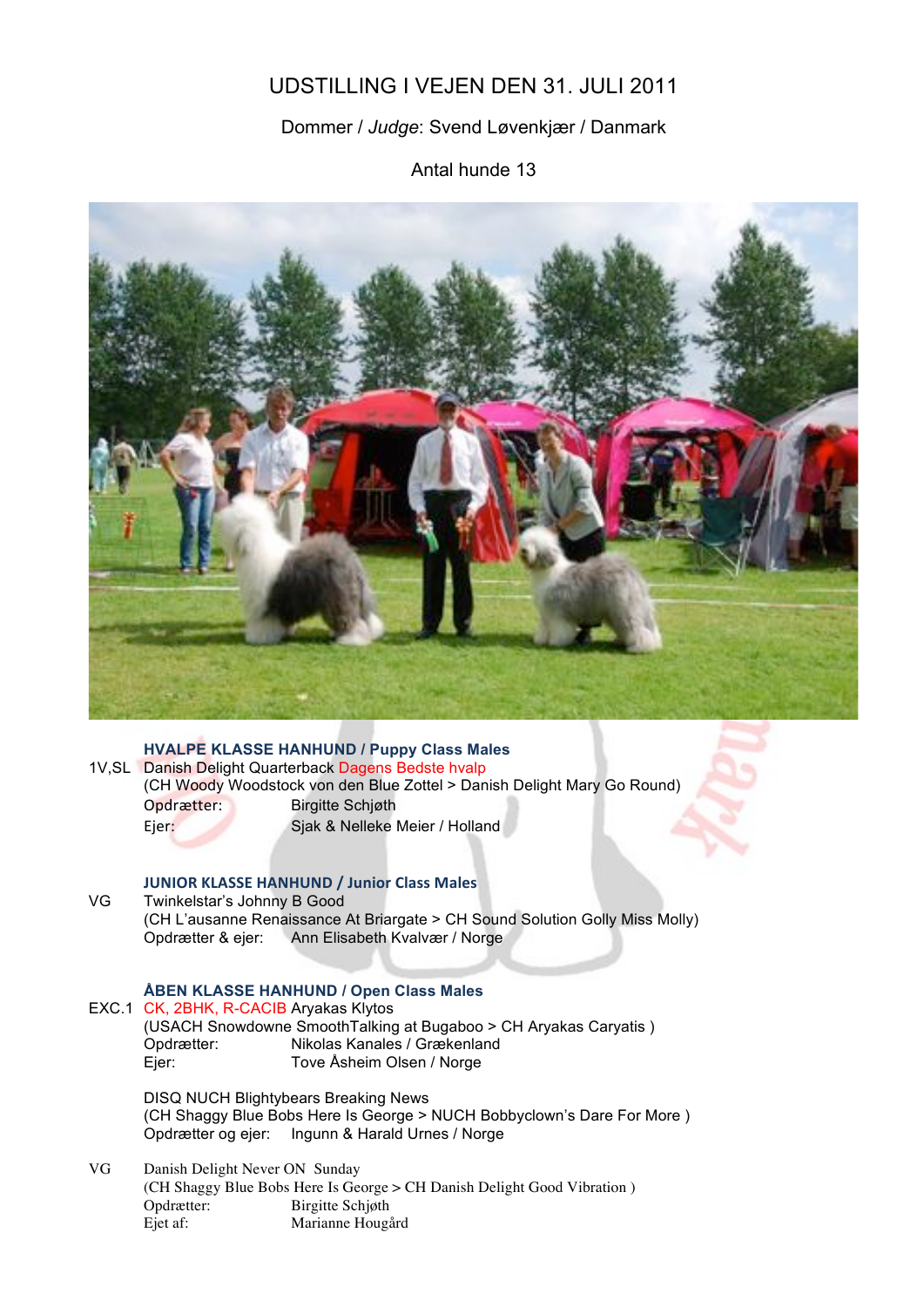# UDSTILLING I VEJEN DEN 31. JULI 2011

## Dommer / *Judge*: Svend Løvenkjær / Danmark

Antal hunde 13



## **HVALPE KLASSE HANHUND / Puppy Class Males** 1V,SL Danish Delight Quarterback Dagens Bedste hvalp (CH Woody Woodstock von den Blue Zottel > Danish Delight Mary Go Round) Opdrætter: Birgitte Schjøth Ejer: Sjak & Nelleke Meier / Holland

## **JUNIOR KLASSE HANHUND / Junior Class Males**

VG Twinkelstar's Johnny B Good (CH L'ausanne Renaissance At Briargate > CH Sound Solution Golly Miss Molly) Opdrætter & ejer: Ann Elisabeth Kvalvær / Norge

### **ÅBEN KLASSE HANHUND / Open Class Males**

|  | EXC.1 CK, 2BHK, R-CACIB Aryakas Klytos<br>Opdrætter:<br>Ejer:                                                                                                             | (USACH Snowdowne SmoothTalking at Bugaboo > CH Aryakas Caryatis)<br>Nikolas Kanales / Grækenland<br>Tove Åsheim Olsen / Norge |
|--|---------------------------------------------------------------------------------------------------------------------------------------------------------------------------|-------------------------------------------------------------------------------------------------------------------------------|
|  | <b>DISQ NUCH Blightybears Breaking News</b><br>(CH Shaggy Blue Bobs Here Is George > NUCH Bobbyclown's Dare For More)<br>Opdrætter og ejer: Ingunn & Harald Urnes / Norge |                                                                                                                               |

VG Danish Delight Never ON Sunday (CH Shaggy Blue Bobs Here Is George > CH Danish Delight Good Vibration ) Opdrætter: Birgitte Schjøth Ejet af: Marianne Hougård